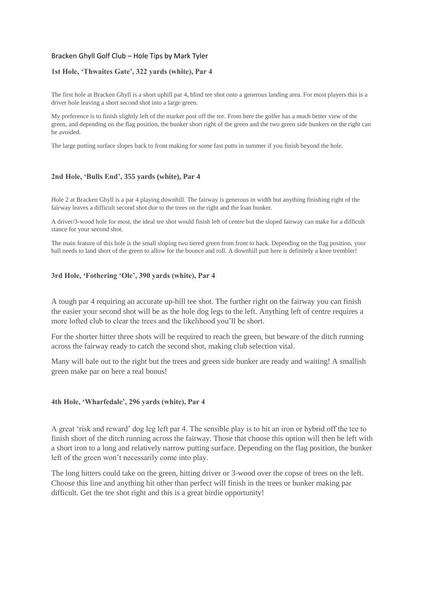## Bracken Ghyll Golf Club – Hole Tips by Mark Tyler

### **1st Hole, 'Thwaites Gate', 322 yards (white), Par 4**

The first hole at Bracken Ghyll is a short uphill par 4, blind tee shot onto a generous landing area. For most players this is a driver hole leaving a short second shot into a large green.

My preference is to finish slightly left of the marker post off the tee. From here the golfer has a much better view of the green, and depending on the flag position, the bunker short right of the green and the two green side bunkers on the right can be avoided.

The large putting surface slopes back to front making for some fast putts in summer if you finish beyond the hole.

## **2nd Hole, 'Bulls End', 355 yards (white), Par 4**

Hole 2 at Bracken Ghyll is a par 4 playing downhill. The fairway is generous in width but anything finishing right of the fairway leaves a difficult second shot due to the trees on the right and the loan bunker.

A driver/3-wood hole for most, the ideal tee shot would finish left of centre but the sloped fairway can make for a difficult stance for your second shot.

The main feature of this hole is the small sloping two tiered green from front to back. Depending on the flag position, your ball needs to land short of the green to allow for the bounce and roll. A downhill putt here is definitely a knee trembler!

### **3rd Hole, 'Fothering 'Ole', 390 yards (white), Par 4**

A tough par 4 requiring an accurate up-hill tee shot. The further right on the fairway you can finish the easier your second shot will be as the hole dog legs to the left. Anything left of centre requires a more lofted club to clear the trees and the likelihood you'll be short.

For the shorter hitter three shots will be required to reach the green, but beware of the ditch running across the fairway ready to catch the second shot, making club selection vital.

Many will bale out to the right but the trees and green side bunker are ready and waiting! A smallish green make par on here a real bonus!

### **4th Hole, 'Wharfedale', 296 yards (white), Par 4**

A great 'risk and reward' dog leg left par 4. The sensible play is to hit an iron or hybrid off the tee to finish short of the ditch running across the fairway. Those that choose this option will then be left with a short iron to a long and relatively narrow putting surface. Depending on the flag position, the bunker left of the green won't necessarily come into play.

The long hitters could take on the green, hitting driver or 3-wood over the copse of trees on the left. Choose this line and anything hit other than perfect will finish in the trees or bunker making par difficult. Get the tee shot right and this is a great birdie opportunity!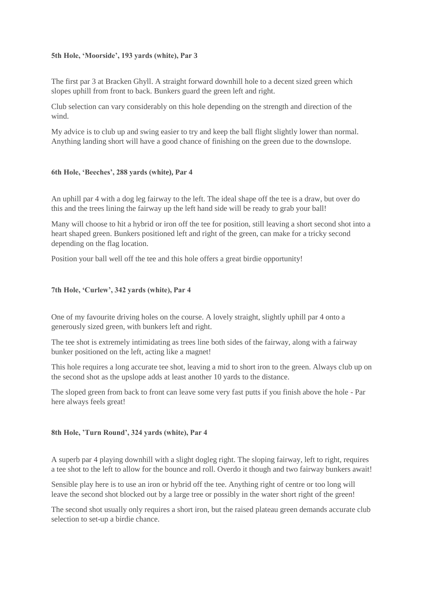# **5th Hole, 'Moorside', 193 yards (white), Par 3**

The first par 3 at Bracken Ghyll. A straight forward downhill hole to a decent sized green which slopes uphill from front to back. Bunkers guard the green left and right.

Club selection can vary considerably on this hole depending on the strength and direction of the wind.

My advice is to club up and swing easier to try and keep the ball flight slightly lower than normal. Anything landing short will have a good chance of finishing on the green due to the downslope.

# **6th Hole, 'Beeches', 288 yards (white), Par 4**

An uphill par 4 with a dog leg fairway to the left. The ideal shape off the tee is a draw, but over do this and the trees lining the fairway up the left hand side will be ready to grab your ball!

Many will choose to hit a hybrid or iron off the tee for position, still leaving a short second shot into a heart shaped green. Bunkers positioned left and right of the green, can make for a tricky second depending on the flag location.

Position your ball well off the tee and this hole offers a great birdie opportunity!

# **7th Hole, 'Curlew', 342 yards (white), Par 4**

One of my favourite driving holes on the course. A lovely straight, slightly uphill par 4 onto a generously sized green, with bunkers left and right.

The tee shot is extremely intimidating as trees line both sides of the fairway, along with a fairway bunker positioned on the left, acting like a magnet!

This hole requires a long accurate tee shot, leaving a mid to short iron to the green. Always club up on the second shot as the upslope adds at least another 10 yards to the distance.

The sloped green from back to front can leave some very fast putts if you finish above the hole - Par here always feels great!

# **8th Hole, 'Turn Round', 324 yards (white), Par 4**

A superb par 4 playing downhill with a slight dogleg right. The sloping fairway, left to right, requires a tee shot to the left to allow for the bounce and roll. Overdo it though and two fairway bunkers await!

Sensible play here is to use an iron or hybrid off the tee. Anything right of centre or too long will leave the second shot blocked out by a large tree or possibly in the water short right of the green!

The second shot usually only requires a short iron, but the raised plateau green demands accurate club selection to set-up a birdie chance.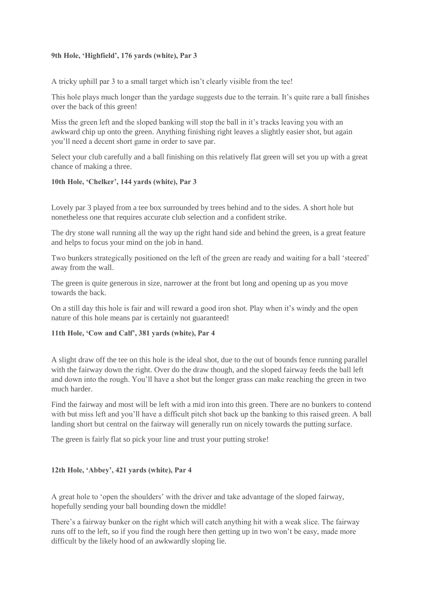# **9th Hole, 'Highfield', 176 yards (white), Par 3**

A tricky uphill par 3 to a small target which isn't clearly visible from the tee!

This hole plays much longer than the yardage suggests due to the terrain. It's quite rare a ball finishes over the back of this green!

Miss the green left and the sloped banking will stop the ball in it's tracks leaving you with an awkward chip up onto the green. Anything finishing right leaves a slightly easier shot, but again you'll need a decent short game in order to save par.

Select your club carefully and a ball finishing on this relatively flat green will set you up with a great chance of making a three.

# **10th Hole, 'Chelker', 144 yards (white), Par 3**

Lovely par 3 played from a tee box surrounded by trees behind and to the sides. A short hole but nonetheless one that requires accurate club selection and a confident strike.

The dry stone wall running all the way up the right hand side and behind the green, is a great feature and helps to focus your mind on the job in hand.

Two bunkers strategically positioned on the left of the green are ready and waiting for a ball 'steered' away from the wall.

The green is quite generous in size, narrower at the front but long and opening up as you move towards the back.

On a still day this hole is fair and will reward a good iron shot. Play when it's windy and the open nature of this hole means par is certainly not guaranteed!

# **11th Hole, 'Cow and Calf', 381 yards (white), Par 4**

A slight draw off the tee on this hole is the ideal shot, due to the out of bounds fence running parallel with the fairway down the right. Over do the draw though, and the sloped fairway feeds the ball left and down into the rough. You'll have a shot but the longer grass can make reaching the green in two much harder.

Find the fairway and most will be left with a mid iron into this green. There are no bunkers to contend with but miss left and you'll have a difficult pitch shot back up the banking to this raised green. A ball landing short but central on the fairway will generally run on nicely towards the putting surface.

The green is fairly flat so pick your line and trust your putting stroke!

# **12th Hole, 'Abbey', 421 yards (white), Par 4**

A great hole to 'open the shoulders' with the driver and take advantage of the sloped fairway, hopefully sending your ball bounding down the middle!

There's a fairway bunker on the right which will catch anything hit with a weak slice. The fairway runs off to the left, so if you find the rough here then getting up in two won't be easy, made more difficult by the likely hood of an awkwardly sloping lie.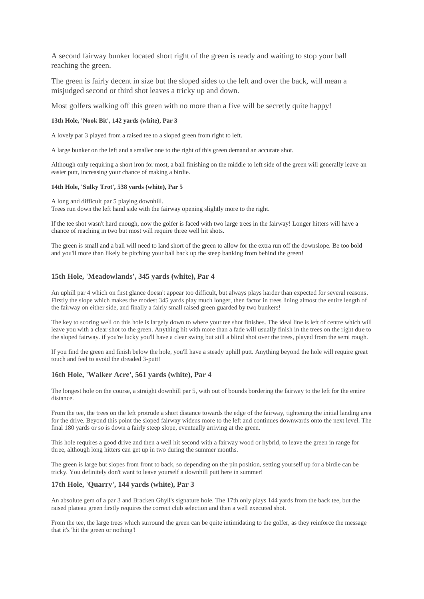A second fairway bunker located short right of the green is ready and waiting to stop your ball reaching the green.

The green is fairly decent in size but the sloped sides to the left and over the back, will mean a misjudged second or third shot leaves a tricky up and down.

Most golfers walking off this green with no more than a five will be secretly quite happy!

#### **13th Hole, 'Nook Bit', 142 yards (white), Par 3**

A lovely par 3 played from a raised tee to a sloped green from right to left.

A large bunker on the left and a smaller one to the right of this green demand an accurate shot.

Although only requiring a short iron for most, a ball finishing on the middle to left side of the green will generally leave an easier putt, increasing your chance of making a birdie.

#### **14th Hole, 'Sulky Trot', 538 yards (white), Par 5**

A long and difficult par 5 playing downhill.

Trees run down the left hand side with the fairway opening slightly more to the right.

If the tee shot wasn't hard enough, now the golfer is faced with two large trees in the fairway! Longer hitters will have a chance of reaching in two but most will require three well hit shots.

The green is small and a ball will need to land short of the green to allow for the extra run off the downslope. Be too bold and you'll more than likely be pitching your ball back up the steep banking from behind the green!

#### **15th Hole, 'Meadowlands', 345 yards (white), Par 4**

An uphill par 4 which on first glance doesn't appear too difficult, but always plays harder than expected for several reasons. Firstly the slope which makes the modest 345 yards play much longer, then factor in trees lining almost the entire length of the fairway on either side, and finally a fairly small raised green guarded by two bunkers!

The key to scoring well on this hole is largely down to where your tee shot finishes. The ideal line is left of centre which will leave you with a clear shot to the green. Anything hit with more than a fade will usually finish in the trees on the right due to the sloped fairway. if you're lucky you'll have a clear swing but still a blind shot over the trees, played from the semi rough.

If you find the green and finish below the hole, you'll have a steady uphill putt. Anything beyond the hole will require great touch and feel to avoid the dreaded 3-putt!

#### **16th Hole, 'Walker Acre', 561 yards (white), Par 4**

The longest hole on the course, a straight downhill par 5, with out of bounds bordering the fairway to the left for the entire distance.

From the tee, the trees on the left protrude a short distance towards the edge of the fairway, tightening the initial landing area for the drive. Beyond this point the sloped fairway widens more to the left and continues downwards onto the next level. The final 180 yards or so is down a fairly steep slope, eventually arriving at the green.

This hole requires a good drive and then a well hit second with a fairway wood or hybrid, to leave the green in range for three, although long hitters can get up in two during the summer months.

The green is large but slopes from front to back, so depending on the pin position, setting yourself up for a birdie can be tricky. You definitely don't want to leave yourself a downhill putt here in summer!

#### **17th Hole, 'Quarry', 144 yards (white), Par 3**

An absolute gem of a par 3 and Bracken Ghyll's signature hole. The 17th only plays 144 yards from the back tee, but the raised plateau green firstly requires the correct club selection and then a well executed shot.

From the tee, the large trees which surround the green can be quite intimidating to the golfer, as they reinforce the message that it's 'hit the green or nothing'!